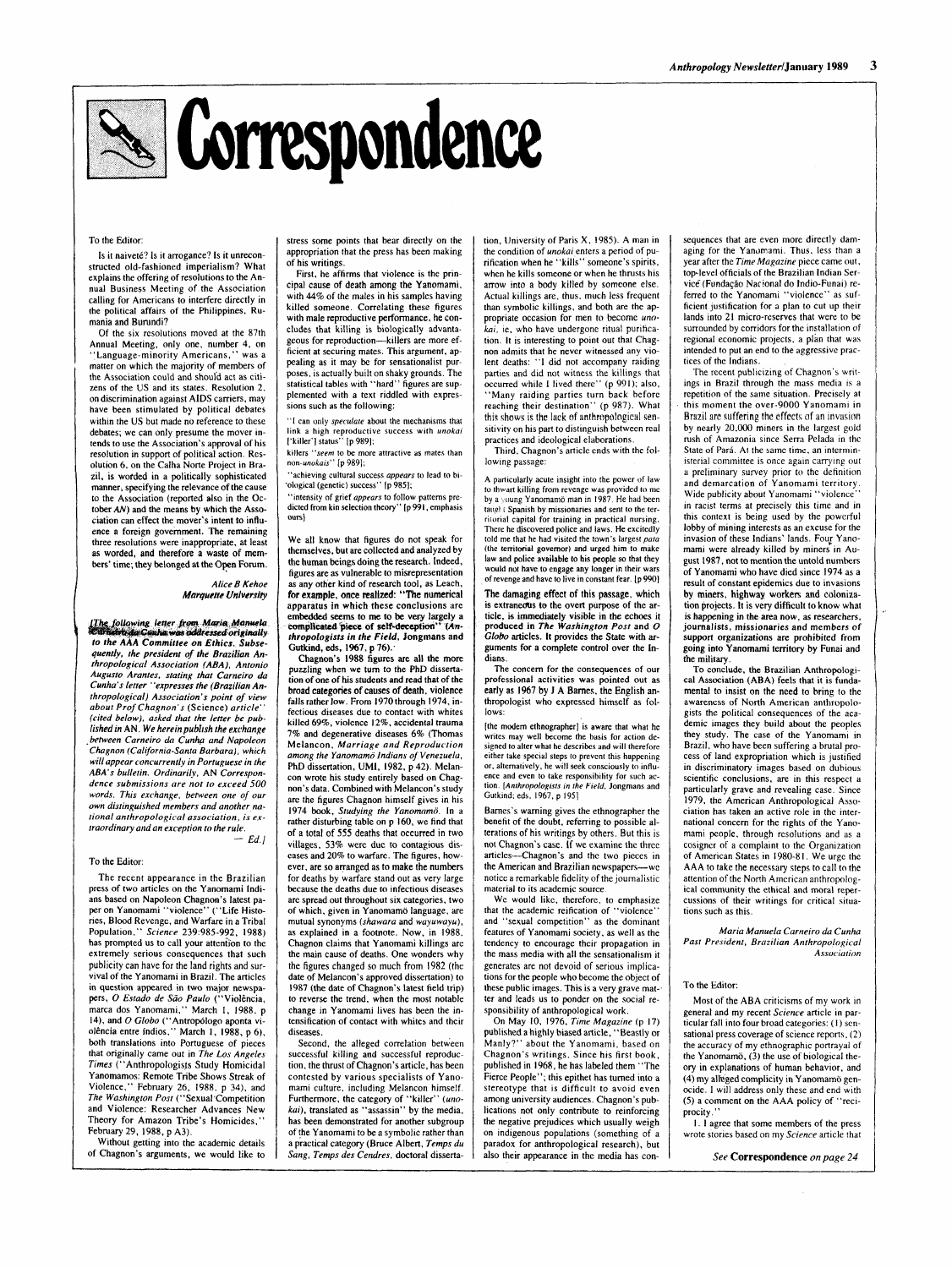# $\approx$  Correspondence

### To the Editor:

Is it naiveté? Is it arrogance? Is it unreconstructed old-fashioned imperialism? What explains the offering of resolutions to the Annual Business Meeting of the Association calling for Americans to interfere directly in the political affairs of the Philippines. Rumania and Burundi?

### *Alice B Kehoe Marquette University*

Of the six resolutions moved at the 87th Annual Meeting, only one, number 4, on "Language-minority Americans," was a matter on which the majority of members of the Association could and shouid act as citizens of the **US** and its states. Resolution 2. on discrimination against AIDS carriers, may have been stimulated by political debates within the US but made no reference to these debates; we can only presume the mover intends to use the Association's approval of his resolution in support of political action. Resolution **6.** on the CaIha Norte Project in Brazil, is wotded in a politically sophisticated manner; specifying the relevance of the cause to the Association (reported **also** in the October *AN)* and the means by which the **Asso**ciation can effect the mover's intent to influence a foreign govemment. The remaining three resolutions were inappropriate, at least as worded, and therefore a **waste of** members' time; they belonged at the Open Forum.

.<br>[The following letter fr<mark>om Maria Manuel</mark>a<br>Curnetro da Canha was addressed originally to the AAA Committee on Ethics. Subse*quently. the president of the Brazilian Anthropologicol Associarion (ABA), Anronio Augusro Armies. staring rhar Curneiro da Cunha's letter "expresses the (Brazilian Anthropological) Association's point of view about Prof Chagnon's* (Science) *article" (cited below), asked rhar rhe letter be published in AN. We herein publish the exchange .between Carneiro da Cunhp and Napoleon Chagnon (California-Santa Barbara), which will appear concurrently in Portuguese in the*  ABA's bulletin. Ordinarily, AN Correspon*dence submissions are not to exceed 500 words. This exchange, between one of our own distinguished members and another nuriond anrhropologicnl associurion, is* **ex***traordinary and an exception to the rule.* 

 $-$  *Ed.*]

killers *"seem* to be more attractive **as** mates than non-unokais" [p 989];

### To the Editor:

The recent appearance in the Brazilian press of two articles on the Yanomami Indians based on Napoleon Chagnon's latest pa**per** on Yanomami "violence" ("Life Histories, Blood Revenge, and Warfare in a Tribal Population." *Science* 239:985-992, 1988) has prompted us to call your attention to the extremely serious conscquences that such publicity can have for the land rights and survival of the Yanomami in Brazil. The articles in question appeared in two major newspapers, O Estado de São Paulo ("Violência, marca dos Yanomami." March I, 1988, p 14). and 0 *Globo* ("Antropdogo aponta violência entre índios," March 1, 1988, p 6), both translations into Portuguese of pieces that originally came out in *The Los Angeles Times* ("Anthropologisjs Study Homicidal Yanomamos: Remote Tribe Shows Streak of Violence," February 26, 1988. p 34). and *The Washingron Posr* ("Sexual'Competition and Violence: Researcher Advances New Theory for Amazon Tribe's Homicides," February 29, 1988, p A3).

Without getting into the academic details of Chagnon's arguments, we would like to

stress some points that bear directly on the appropriation that the press has been making of his writings.

First, he affirms that violence is the principal cause of death among the Yanomami. with **44%** of the males in his samples having killed someone. Correlating these figures with male reproductive performance, he concludes that killing is biologically advantageous for reproduction-killers are more efficient at securing mates. This argument, appealing as it may be for sensationalist purposes, is actually built on shaky grounds. The statistical tables with "hard" figures are supplemented with a text riddled with expressions such as the following:

tion, University of Paris X, 1985). A man in the condition of *unokai* enters a period of purification when he "kills" someone's spirits, when he kills someone or when he thrusts his arrow into a body killed by someone else. Actual killings are. thus. much less frequent than symbolic killings, and both are the appropriate occasion **for** men to become *unokai*, ie, who have undergone ritual purification. It is interesting to point out that Chagnon admits that he never witnessed any violent deaths: **"I** did not accompany raiding parties and did not witness the killings that occurred while I lived there" (p 991); also, "Many raiding parties turn back before reaching their destination" (p 987). What this shows is the lack of anthropological sensitivity on his part to distinguish between real practices and ideological elaborations.

"I can only *speculare* about the niechanisms that link a high reproductive success with *unokai*  ['killer'] status" [p 9891;

"achieving cultural success *appears* to lead to bi- 'ological (genetic) success'' [p 9851;

"intensity of grief *appears* to follow patterns predicted **from** kin selection theory" [p 991, emphasis **ours)** 

We all know that figures do not speak for themselves, **but** are collected and analyzed by the human beings doing the research. Indeed, figures are **as** vulnerable to misrepresentation **as** any other kind of research tool, **as** Leach, **far example,** once **reallzed: "The numerical**  apparatus in which these conclusions are embedded seems to me to be very largely a complicated piece of self-deception'' (An*thropologists in the Field,* Jongmans and Gutkind, **eds, 1%7. p** 76):

Chagnon's 1988 figures are all the **more**  puzzling when we turn to the PhD dissertation of one of his students and read that of the broad categories of causes of death, violence falls rather low. From I970 through 1974, infectious diseases due to contact with whites killed *69%,* violence 12%. accidental trauma 7% and degenerative diseases 6% (Thomas Melancon, *Marriage and Reproduction among the Yanomamij Indians oJ Venezuelu,*  PhD dissertation. UMI, 1982. p 42). Melancon wrote his study entirely based on Chagnon's data. Combined with Melancon's study are the figures Chagnon himself gives in his 1974 book, *Studying the Yanomamö*. In a rather disturbing table on p 160, we find that of a lotal of *555* deaths that occurred in two villages, **53%** were due to contagious diseases and 20% to warfare. The figures, however, are so arranged as to make the numbers for deaths by warfare stand out as very large because the deaths due to infectious diseases are spread out throughout six categories. two of which, given in Yanomamö language, are mutual synonyms *(shawara* and *wayuwayu),*  **as** explained in a footnote. Now, in 1988. Chagnon claims that Yanomami killings are the main cause of deaths. One wonders why the figures changed so much from 1982 (the date of Melancon's approved dissertation) to 1987 (the date of Chagnon's latest field trip)

to reverse the trend, when the most notable change in Yanomami lives has been the intensification of contact with whites and their diseases.

Second, the alleged correlation between successful killing and successful reproduction, the thrust of Chagnon's article, has been contested by various specialists of Yanomami culture, including Melancon himself. Furthermore, the category of "killer" *(unohi).* translated as "assassin" by the media. has been demonstrated for another subgroup of the Yanomami to be a symbolic rather than a practical category (Bruce Albert, *Temps du Sang, Temps des Cendres,* doctoral disserta-

 $M$ aria *Manuela Carneiro da Cunha Past President, Bruzilian Anthropological Association* 

Third, Chagnon's article ends with the following passage:

**A** particularly acute insight into the power of law to thwart killing from revenge was provided to **me**  by a young Yanomamo man in 1987. He had been taugh L Spanish by missionaries and sent to the terrirorial capital for training in practical nursing. There he discovered police and laws. He excitedly told me that he had visited the town's largest *para*  (the territorial governor) and urged him to make law and police available to his people so that they would not have to engage any longer in their wars of revenge and have to live in constant fear. [p 990)

**The damaging effect of this passage, which**  is extraneous to the overt purpose of the article, **k** immediately visible in **the** echoes it produced in The *Washington* Posr and *0 Club0* articles. **it** provides the State with arguments for a complete control over the Indians.

The concern for the consequences of our professional activities was pointed out as early as 1967 by J **A** Barnes. thc English anthropologist who expressed himself as follows:

[the modem ethnographer] **is** aware that what he writes may well become the basis for action designed to alter what he describes and will therefore either take special steps to prevcnt this happening or. alternatively, he will seek consciously to influence and even to take responsibility for such action. *[Anrhropologisrs in fhe Field.* Jongmans and Gutkind: eds. 1967. p **1951** 

Barnes's warning gives the ethnographer the benefit of the doubt, referring to possible alterations of his writings by others. But this is not Chagnon's case. **If** we examine the three articles-Chagnon's and the two pieccs in the American and Brazilian newspapers-wc notice a remarkable fidelity of the journalistic material to its academic source

We would like, therefore, to emphasize that the academic reification of "violence" and "sexual competition" as the dominant features of Yanomami society. as well as the tendency to encourage their propagation in the mass media with all the sensationalism it generates are not devoid of serious implications for the people who become the object of these public images. This is a very grave mat-. ter and leads us to ponder on the social responsibility of anthropological work. **On** May 10, 1976, *Time Magazine* (p 17) published a highly biased article, "Beastly or Manly?" about the Yanomami, based on Chagnon's writings. Since his first book, published in 1968, he has labeled them "The Fierce People"; this epithet has turned into a stereotype that is difficult to avoid even among university audiences. Chagnon's publications not only contribute to reinforcing the negative prejudices which usually weigh on indigenous populations (something of a paradox for anthropological research), but also their appearance in the media has con-

sequences that are even more directly damaging for the Yanomami. Thus, less than a year after the *Time Magazine* piece came out, top-level officials of the Brazilian Indian Service (Fundação Nacional do Indio-Funai) referred to the Yanomami "violence" as sufficient justification for a plan to cut up their lands into 21 micro-reserves that were to be surrounded by corridors for the installation of regional economic projects, a plan that was intended to put an end to the aggressive practices of the Indians.

The recent publicizing of Chagnon's writings in Brazil through the mass media is a repetition of the same situation. Precisely at this moment the over-9000 Yanomami in Brazil are suffering the effects of an invasion by nearly *20.000* miners in the largest gold rush of Amazonia since Serra Pelada in the State of Pará. At the same time, an interministerial committee is once again carrying out a preliminary survey prior *to* the definition and demarcation of Yanomami territory. Wide publicity about Yanomami "violence" in racist terms at precisely this time and in this context is being used by the powerful lobby of mining interests as an excuse for the invasion of these Indians' lands. Four Yanomami were already killed by miners in August 1987, not to mention the untold numbers of Yanomami who have died since 1974 as a result of constant epidemics due to invasions **by miners, highway workers and** calanization projects. It is very difficult to know what is happening in the area now, **as** researchers, journalists. missionaries and members **of**  support organizations are prohibited from going into Yanomami territory by Funai and the military.

To conclude, the Brazilian Anthropological Association (ABA) feels that it is fundamental to insist on the need to bring to the awareness **of North** American anthropologists the political consequences of the academic images they build about the peoples they study. The case of the Yanomami in Brazil, who have been suffering a brutal process of land expropriation which is justified in discriminatory images based on dubious scientific conclusions, are in this respect a particularly grave and revealing case. Since 1979. the American Anthropological Association has taken an active role in the international concern for the rights of the Yanomami people, through resolutions and as a cosigner of a complaint to the Organization of American States in 1980-81. We urge the **AAA** to take the necessary steps to call to the attention of the North American anthropological community the ethical and moral repercussions of their writings for critical situations such as this.

To the Editor:

Most of the ABA criticisms of my work in general and my recent *Science* article in particular fall into four broad categories: (I ) **sen**sational press coverage of science reports, (2) the accuracy of my ethnographic portrayal of the Yanomamo,  $(3)$  the use of biological theory in explanations of human behavior, and (4) my alleged complicity in Yanomamo genocide. I will address only these and end with (5) a comment on the AAA policy of "reciprocity."

I. I agree that some members of the press wrote stories based on my *Science* article fhat

*See* **Correspondence** *on page 24*